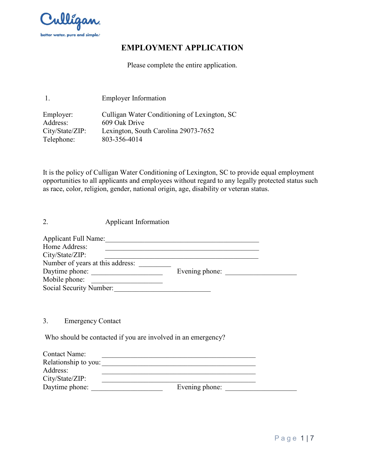

# **EMPLOYMENT APPLICATION**

Please complete the entire application.

1. Employer Information

| Culligan Water Conditioning of Lexington, SC |
|----------------------------------------------|
| 609 Oak Drive                                |
| Lexington, South Carolina 29073-7652         |
| 803-356-4014                                 |
|                                              |

It is the policy of Culligan Water Conditioning of Lexington, SC to provide equal employment opportunities to all applicants and employees without regard to any legally protected status such as race, color, religion, gender, national origin, age, disability or veteran status.

2. Applicant Information

| <b>Applicant Full Name:</b>      |                |  |
|----------------------------------|----------------|--|
| Home Address:                    |                |  |
| City/State/ZIP:                  |                |  |
| Number of years at this address: |                |  |
| Daytime phone:                   | Evening phone: |  |
| Mobile phone:                    |                |  |
| Social Security Number:          |                |  |

3. Emergency Contact

Who should be contacted if you are involved in an emergency?

| Contact Name:        |                |  |
|----------------------|----------------|--|
| Relationship to you: |                |  |
| Address:             |                |  |
| City/State/ZIP:      |                |  |
| Daytime phone:       | Evening phone: |  |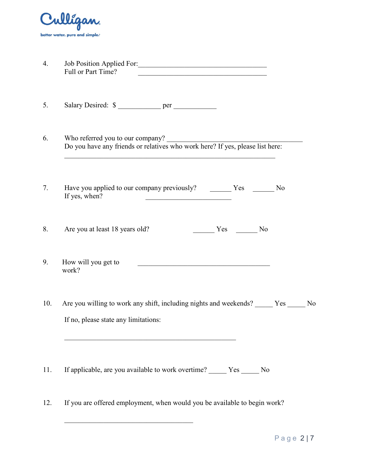

| 4 | Job Position Applied For: |  |
|---|---------------------------|--|
|   | Full or Part Time?        |  |

5. Salary Desired:  $\quad \text{per}$  per

6. Who referred you to our company? Do you have any friends or relatives who work here? If yes, please list here:

 $\mathcal{L}_\text{max}$  , and the contract of the contract of the contract of the contract of the contract of the contract of

7. Have you applied to our company previously? Yes No If yes, when?

8. Are you at least 18 years old? \_\_\_\_\_\_\_\_ Yes \_\_\_\_\_\_ No

- 9. How will you get to work?  $\frac{1}{\sqrt{2}}$  ,  $\frac{1}{\sqrt{2}}$  ,  $\frac{1}{\sqrt{2}}$  ,  $\frac{1}{\sqrt{2}}$  ,  $\frac{1}{\sqrt{2}}$  ,  $\frac{1}{\sqrt{2}}$  ,  $\frac{1}{\sqrt{2}}$  ,  $\frac{1}{\sqrt{2}}$  ,  $\frac{1}{\sqrt{2}}$  ,  $\frac{1}{\sqrt{2}}$  ,  $\frac{1}{\sqrt{2}}$  ,  $\frac{1}{\sqrt{2}}$  ,  $\frac{1}{\sqrt{2}}$  ,  $\frac{1}{\sqrt{2}}$  ,  $\frac{1}{\sqrt{2}}$
- 10. Are you willing to work any shift, including nights and weekends? \_\_\_\_\_ Yes \_\_\_\_\_ No If no, please state any limitations:

11. If applicable, are you available to work overtime? \_\_\_\_\_\_ Yes \_\_\_\_\_ No

 $\mathcal{L}_\text{max}$  , and the set of the set of the set of the set of the set of the set of the set of the set of the set of the set of the set of the set of the set of the set of the set of the set of the set of the set of the

12. If you are offered employment, when would you be available to begin work?

 $\mathcal{L}_\text{max}$  , and the set of the set of the set of the set of the set of the set of the set of the set of the set of the set of the set of the set of the set of the set of the set of the set of the set of the set of the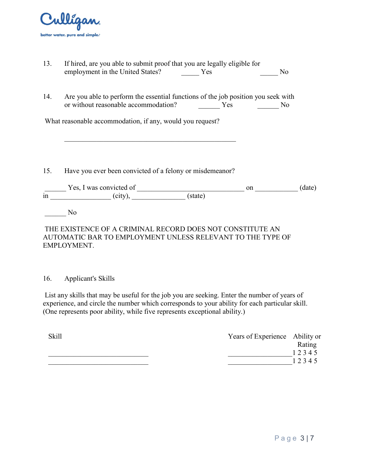

|     | 13. If hired, are you able to submit proof that you are legally eligible for                                              |     |           |                       |
|-----|---------------------------------------------------------------------------------------------------------------------------|-----|-----------|-----------------------|
|     | employment in the United States? Yes                                                                                      |     |           | N <sub>0</sub>        |
| 14. | Are you able to perform the essential functions of the job position you seek with<br>or without reasonable accommodation? | Yes | $\sim$ No |                       |
|     |                                                                                                                           |     |           |                       |
|     | What reasonable accommodation, if any, would you request?                                                                 |     |           |                       |
|     |                                                                                                                           |     |           |                       |
|     |                                                                                                                           |     |           |                       |
|     |                                                                                                                           |     |           |                       |
|     |                                                                                                                           |     |           |                       |
|     | 15. Have you ever been convicted of a felony or misdemean or?                                                             |     |           |                       |
|     |                                                                                                                           |     |           |                       |
|     | $\overline{\text{in}}$ $\overline{\text{Yes, I was convicted of}}$<br>$\overline{\text{(city),}}$ (state)                 |     |           | (date)<br>on $\qquad$ |
|     |                                                                                                                           |     |           |                       |
|     |                                                                                                                           |     |           |                       |
|     | N <sub>0</sub>                                                                                                            |     |           |                       |
|     |                                                                                                                           |     |           |                       |

### THE EXISTENCE OF A CRIMINAL RECORD DOES NOT CONSTITUTE AN AUTOMATIC BAR TO EMPLOYMENT UNLESS RELEVANT TO THE TYPE OF EMPLOYMENT.

### 16. Applicant's Skills

 List any skills that may be useful for the job you are seeking. Enter the number of years of experience, and circle the number which corresponds to your ability for each particular skill. (One represents poor ability, while five represents exceptional ability.)

| <b>Skill</b> | Years of Experience Ability or |        |
|--------------|--------------------------------|--------|
|              |                                | Rating |
|              |                                | 12345  |
|              |                                | 12345  |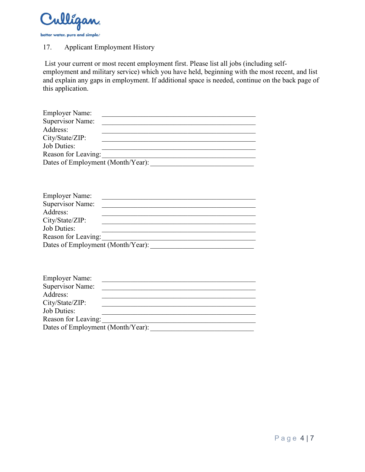

# 17. Applicant Employment History

List your current or most recent employment first. Please list all jobs (including selfemployment and military service) which you have held, beginning with the most recent, and list and explain any gaps in employment. If additional space is needed, continue on the back page of this application.

| <b>Employer Name:</b>                                                    |                                         |
|--------------------------------------------------------------------------|-----------------------------------------|
| <b>Supervisor Name:</b>                                                  |                                         |
| Address:                                                                 |                                         |
| City/State/ZIP:                                                          |                                         |
| <b>Job Duties:</b>                                                       |                                         |
| Reason for Leaving:                                                      | <u> 1990 - Johann Barbara, martin a</u> |
| Dates of Employment (Month/Year):                                        |                                         |
| <b>Employer Name:</b><br>Supervisor Name:<br>Address:<br>City/State/ZIP: |                                         |
| <b>Job Duties:</b>                                                       |                                         |
| Reason for Leaving:                                                      |                                         |
| Dates of Employment (Month/Year):                                        |                                         |
|                                                                          |                                         |
| <b>Employer Name:</b>                                                    |                                         |
| <b>Supervisor Name:</b>                                                  |                                         |

| Supervisor Name:                  |  |  |
|-----------------------------------|--|--|
| Address:                          |  |  |
| City/State/ZIP:                   |  |  |
| <b>Job Duties:</b>                |  |  |
| Reason for Leaving:               |  |  |
| Dates of Employment (Month/Year): |  |  |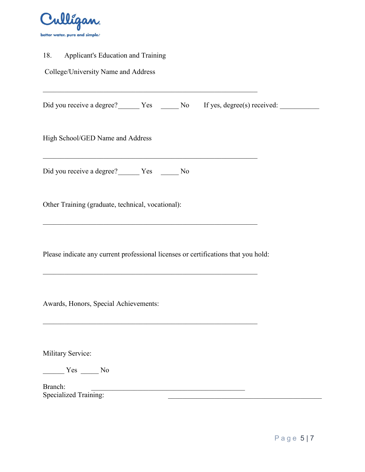

| 18. Applicant's Education and Training                                                                                                                                                                    |  |
|-----------------------------------------------------------------------------------------------------------------------------------------------------------------------------------------------------------|--|
| College/University Name and Address                                                                                                                                                                       |  |
| <u> 1989 - Johann Stoff, deutscher Stoff, der Stoff, der Stoff, der Stoff, der Stoff, der Stoff, der Stoff, der S</u>                                                                                     |  |
| High School/GED Name and Address                                                                                                                                                                          |  |
| <u> 1989 - Johann Stoff, deutscher Stoffen und der Stoffen und der Stoffen und der Stoffen und der Stoffen und der</u><br>Did you receive a degree? ________ Yes _______ No                               |  |
| Other Training (graduate, technical, vocational):                                                                                                                                                         |  |
| Please indicate any current professional licenses or certifications that you hold:<br><u> 1989 - Johann John Stoff, deutscher Stoffen und der Stoffen und der Stoffen und der Stoffen und der Stoffen</u> |  |
| Awards, Honors, Special Achievements:                                                                                                                                                                     |  |
| <b>Military Service:</b><br>Yes No<br>Branch:                                                                                                                                                             |  |
| <b>Specialized Training:</b>                                                                                                                                                                              |  |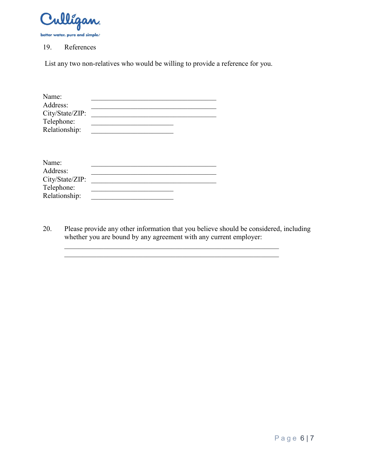

#### 19. References

List any two non-relatives who would be willing to provide a reference for you.

| Name:           |  |
|-----------------|--|
| Address:        |  |
| City/State/ZIP: |  |
| Telephone:      |  |
| Relationship:   |  |

20. Please provide any other information that you believe should be considered, including whether you are bound by any agreement with any current employer:

 $\mathcal{L}_\text{max}$  , and the contribution of the contribution of the contribution of the contribution of the contribution of the contribution of the contribution of the contribution of the contribution of the contribution of t